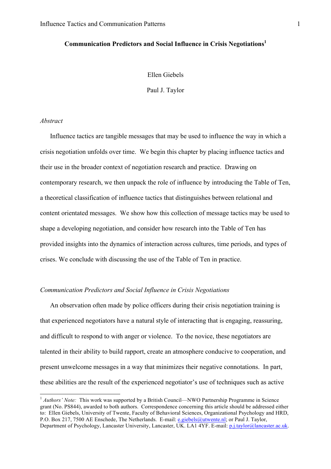# **Communication Predictors and Social Influence in Crisis Negotiations1**

### Ellen Giebels

Paul J. Taylor

#### *Abstract*

Influence tactics are tangible messages that may be used to influence the way in which a crisis negotiation unfolds over time. We begin this chapter by placing influence tactics and their use in the broader context of negotiation research and practice. Drawing on contemporary research, we then unpack the role of influence by introducing the Table of Ten, a theoretical classification of influence tactics that distinguishes between relational and content orientated messages. We show how this collection of message tactics may be used to shape a developing negotiation, and consider how research into the Table of Ten has provided insights into the dynamics of interaction across cultures, time periods, and types of crises. We conclude with discussing the use of the Table of Ten in practice.

# *Communication Predictors and Social Influence in Crisis Negotiations*

An observation often made by police officers during their crisis negotiation training is that experienced negotiators have a natural style of interacting that is engaging, reassuring, and difficult to respond to with anger or violence. To the novice, these negotiators are talented in their ability to build rapport, create an atmosphere conducive to cooperation, and present unwelcome messages in a way that minimizes their negative connotations. In part, these abilities are the result of the experienced negotiator's use of techniques such as active

<sup>&</sup>lt;sup>1</sup> *Authors' Note:* This work was supported by a British Council—NWO Partnership Programme in Science grant (No. PS844), awarded to both authors. Correspondence concerning this article should be addressed either to: Ellen Giebels, University of Twente, Faculty of Behavioral Sciences, Organizational Psychology and HRD, P.O. Box 217, 7500 AE Enschede, The Netherlands. E-mail: e.giebels@utwente.nl; or Paul J. Taylor, Department of Psychology, Lancaster University, Lancaster, UK. LA1 4YF. E-mail: p.j.taylor@lancaster.ac.uk.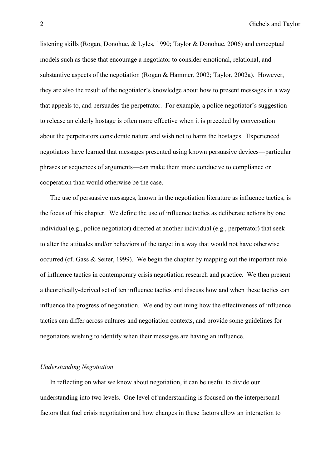listening skills (Rogan, Donohue, & Lyles, 1990; Taylor & Donohue, 2006) and conceptual models such as those that encourage a negotiator to consider emotional, relational, and substantive aspects of the negotiation (Rogan & Hammer, 2002; Taylor, 2002a). However, they are also the result of the negotiator's knowledge about how to present messages in a way that appeals to, and persuades the perpetrator. For example, a police negotiator's suggestion to release an elderly hostage is often more effective when it is preceded by conversation about the perpetrators considerate nature and wish not to harm the hostages. Experienced negotiators have learned that messages presented using known persuasive devices—particular phrases or sequences of arguments—can make them more conducive to compliance or cooperation than would otherwise be the case.

The use of persuasive messages, known in the negotiation literature as influence tactics, is the focus of this chapter. We define the use of influence tactics as deliberate actions by one individual (e.g., police negotiator) directed at another individual (e.g., perpetrator) that seek to alter the attitudes and/or behaviors of the target in a way that would not have otherwise occurred (cf. Gass & Seiter, 1999). We begin the chapter by mapping out the important role of influence tactics in contemporary crisis negotiation research and practice. We then present a theoretically-derived set of ten influence tactics and discuss how and when these tactics can influence the progress of negotiation. We end by outlining how the effectiveness of influence tactics can differ across cultures and negotiation contexts, and provide some guidelines for negotiators wishing to identify when their messages are having an influence.

### *Understanding Negotiation*

In reflecting on what we know about negotiation, it can be useful to divide our understanding into two levels. One level of understanding is focused on the interpersonal factors that fuel crisis negotiation and how changes in these factors allow an interaction to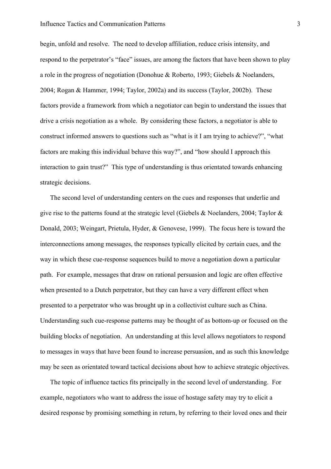begin, unfold and resolve. The need to develop affiliation, reduce crisis intensity, and respond to the perpetrator's "face" issues, are among the factors that have been shown to play a role in the progress of negotiation (Donohue & Roberto, 1993; Giebels & Noelanders, 2004; Rogan & Hammer, 1994; Taylor, 2002a) and its success (Taylor, 2002b). These factors provide a framework from which a negotiator can begin to understand the issues that drive a crisis negotiation as a whole. By considering these factors, a negotiator is able to construct informed answers to questions such as "what is it I am trying to achieve?", "what factors are making this individual behave this way?", and "how should I approach this interaction to gain trust?" This type of understanding is thus orientated towards enhancing strategic decisions.

The second level of understanding centers on the cues and responses that underlie and give rise to the patterns found at the strategic level (Giebels & Noelanders, 2004; Taylor & Donald, 2003; Weingart, Prietula, Hyder, & Genovese, 1999). The focus here is toward the interconnections among messages, the responses typically elicited by certain cues, and the way in which these cue-response sequences build to move a negotiation down a particular path. For example, messages that draw on rational persuasion and logic are often effective when presented to a Dutch perpetrator, but they can have a very different effect when presented to a perpetrator who was brought up in a collectivist culture such as China. Understanding such cue-response patterns may be thought of as bottom-up or focused on the building blocks of negotiation. An understanding at this level allows negotiators to respond to messages in ways that have been found to increase persuasion, and as such this knowledge may be seen as orientated toward tactical decisions about how to achieve strategic objectives.

The topic of influence tactics fits principally in the second level of understanding. For example, negotiators who want to address the issue of hostage safety may try to elicit a desired response by promising something in return, by referring to their loved ones and their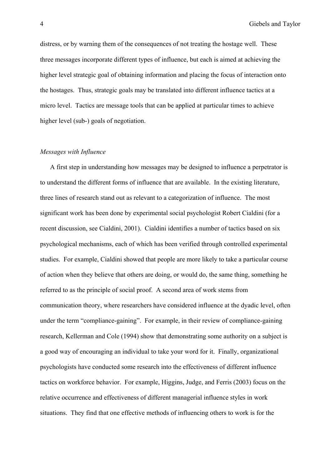distress, or by warning them of the consequences of not treating the hostage well. These three messages incorporate different types of influence, but each is aimed at achieving the higher level strategic goal of obtaining information and placing the focus of interaction onto the hostages. Thus, strategic goals may be translated into different influence tactics at a micro level. Tactics are message tools that can be applied at particular times to achieve higher level (sub-) goals of negotiation.

#### *Messages with Influence*

A first step in understanding how messages may be designed to influence a perpetrator is to understand the different forms of influence that are available. In the existing literature, three lines of research stand out as relevant to a categorization of influence. The most significant work has been done by experimental social psychologist Robert Cialdini (for a recent discussion, see Cialdini, 2001). Cialdini identifies a number of tactics based on six psychological mechanisms, each of which has been verified through controlled experimental studies. For example, Cialdini showed that people are more likely to take a particular course of action when they believe that others are doing, or would do, the same thing, something he referred to as the principle of social proof. A second area of work stems from communication theory, where researchers have considered influence at the dyadic level, often under the term "compliance-gaining". For example, in their review of compliance-gaining research, Kellerman and Cole (1994) show that demonstrating some authority on a subject is a good way of encouraging an individual to take your word for it. Finally, organizational psychologists have conducted some research into the effectiveness of different influence tactics on workforce behavior. For example, Higgins, Judge, and Ferris (2003) focus on the relative occurrence and effectiveness of different managerial influence styles in work situations. They find that one effective methods of influencing others to work is for the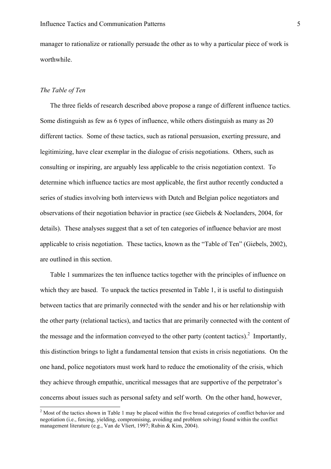manager to rationalize or rationally persuade the other as to why a particular piece of work is worthwhile.

## *The Table of Ten*

The three fields of research described above propose a range of different influence tactics. Some distinguish as few as 6 types of influence, while others distinguish as many as 20 different tactics. Some of these tactics, such as rational persuasion, exerting pressure, and legitimizing, have clear exemplar in the dialogue of crisis negotiations. Others, such as consulting or inspiring, are arguably less applicable to the crisis negotiation context. To determine which influence tactics are most applicable, the first author recently conducted a series of studies involving both interviews with Dutch and Belgian police negotiators and observations of their negotiation behavior in practice (see Giebels & Noelanders, 2004, for details). These analyses suggest that a set of ten categories of influence behavior are most applicable to crisis negotiation. These tactics, known as the "Table of Ten" (Giebels, 2002), are outlined in this section.

Table 1 summarizes the ten influence tactics together with the principles of influence on which they are based. To unpack the tactics presented in Table 1, it is useful to distinguish between tactics that are primarily connected with the sender and his or her relationship with the other party (relational tactics), and tactics that are primarily connected with the content of the message and the information conveyed to the other party (content tactics).<sup>2</sup> Importantly, this distinction brings to light a fundamental tension that exists in crisis negotiations. On the one hand, police negotiators must work hard to reduce the emotionality of the crisis, which they achieve through empathic, uncritical messages that are supportive of the perpetrator's concerns about issues such as personal safety and self worth. On the other hand, however,

<sup>2</sup> Most of the tactics shown in Table 1 may be placed within the five broad categories of conflict behavior and negotiation (i.e., forcing, yielding, compromising, avoiding and problem solving) found within the conflict management literature (e.g., Van de Vliert, 1997; Rubin & Kim, 2004).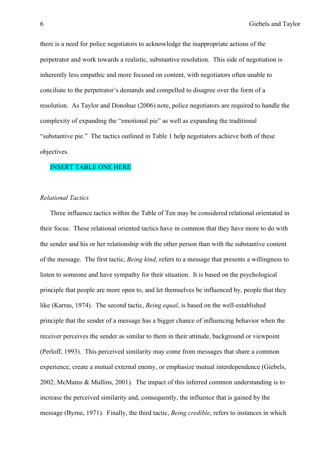there is a need for police negotiators to acknowledge the inappropriate actions of the perpetrator and work towards a realistic, substantive resolution. This side of negotiation is inherently less empathic and more focused on content, with negotiators often unable to conciliate to the perpetrator's demands and compelled to disagree over the form of a resolution. As Taylor and Donohue (2006) note, police negotiators are required to handle the complexity of expanding the "emotional pie" as well as expanding the traditional "substantive pie." The tactics outlined in Table 1 help negotiators achieve both of these objectives.

## INSERT TABLE ONE HERE

# *Relational Tactics*

Three influence tactics within the Table of Ten may be considered relational orientated in their focus. These relational oriented tactics have in common that they have more to do with the sender and his or her relationship with the other person than with the substantive content of the message. The first tactic, *Being kind*, refers to a message that presents a willingness to listen to someone and have sympathy for their situation. It is based on the psychological principle that people are more open to, and let themselves be influenced by, people that they like (Karras, 1974). The second tactic, *Being equal*, is based on the well-established principle that the sender of a message has a bigger chance of influencing behavior when the receiver perceives the sender as similar to them in their attitude, background or viewpoint (Perloff, 1993). This perceived similarity may come from messages that share a common experience, create a mutual external enemy, or emphasize mutual interdependence (Giebels, 2002; McMains & Mullins, 2001). The impact of this inferred common understanding is to increase the perceived similarity and, consequently, the influence that is gained by the message (Byrne, 1971). Finally, the third tactic, *Being credible*, refers to instances in which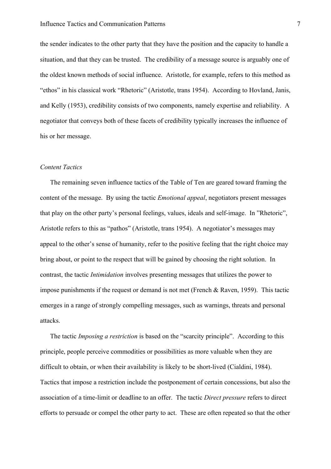the sender indicates to the other party that they have the position and the capacity to handle a situation, and that they can be trusted. The credibility of a message source is arguably one of the oldest known methods of social influence. Aristotle, for example, refers to this method as "ethos" in his classical work "Rhetoric" (Aristotle, trans 1954). According to Hovland, Janis, and Kelly (1953), credibility consists of two components, namely expertise and reliability. A negotiator that conveys both of these facets of credibility typically increases the influence of his or her message.

#### *Content Tactics*

The remaining seven influence tactics of the Table of Ten are geared toward framing the content of the message. By using the tactic *Emotional appeal*, negotiators present messages that play on the other party's personal feelings, values, ideals and self-image. In "Rhetoric", Aristotle refers to this as "pathos" (Aristotle, trans 1954). A negotiator's messages may appeal to the other's sense of humanity, refer to the positive feeling that the right choice may bring about, or point to the respect that will be gained by choosing the right solution. In contrast, the tactic *Intimidation* involves presenting messages that utilizes the power to impose punishments if the request or demand is not met (French & Raven, 1959). This tactic emerges in a range of strongly compelling messages, such as warnings, threats and personal attacks.

The tactic *Imposing a restriction* is based on the "scarcity principle". According to this principle, people perceive commodities or possibilities as more valuable when they are difficult to obtain, or when their availability is likely to be short-lived (Cialdini, 1984). Tactics that impose a restriction include the postponement of certain concessions, but also the association of a time-limit or deadline to an offer. The tactic *Direct pressure* refers to direct efforts to persuade or compel the other party to act. These are often repeated so that the other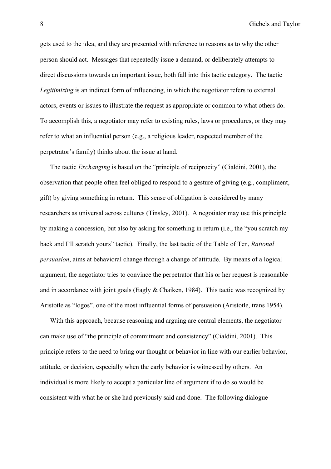gets used to the idea, and they are presented with reference to reasons as to why the other person should act. Messages that repeatedly issue a demand, or deliberately attempts to direct discussions towards an important issue, both fall into this tactic category. The tactic *Legitimizing* is an indirect form of influencing, in which the negotiator refers to external actors, events or issues to illustrate the request as appropriate or common to what others do. To accomplish this, a negotiator may refer to existing rules, laws or procedures, or they may refer to what an influential person (e.g., a religious leader, respected member of the perpetrator's family) thinks about the issue at hand.

The tactic *Exchanging* is based on the "principle of reciprocity" (Cialdini, 2001), the observation that people often feel obliged to respond to a gesture of giving (e.g., compliment, gift) by giving something in return. This sense of obligation is considered by many researchers as universal across cultures (Tinsley, 2001). A negotiator may use this principle by making a concession, but also by asking for something in return (i.e., the "you scratch my back and I'll scratch yours" tactic). Finally, the last tactic of the Table of Ten, *Rational persuasion*, aims at behavioral change through a change of attitude. By means of a logical argument, the negotiator tries to convince the perpetrator that his or her request is reasonable and in accordance with joint goals (Eagly & Chaiken, 1984). This tactic was recognized by Aristotle as "logos", one of the most influential forms of persuasion (Aristotle, trans 1954).

With this approach, because reasoning and arguing are central elements, the negotiator can make use of "the principle of commitment and consistency" (Cialdini, 2001). This principle refers to the need to bring our thought or behavior in line with our earlier behavior, attitude, or decision, especially when the early behavior is witnessed by others. An individual is more likely to accept a particular line of argument if to do so would be consistent with what he or she had previously said and done. The following dialogue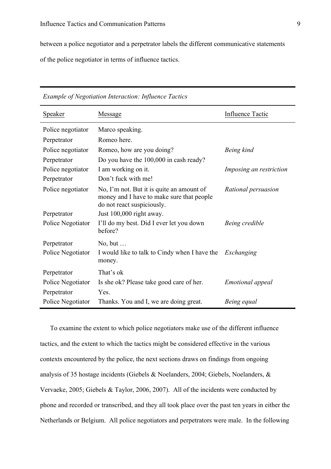between a police negotiator and a perpetrator labels the different communicative statements

of the police negotiator in terms of influence tactics.

| Example of regordation theraction. Influence Factics |                                                                                                                      |                         |  |
|------------------------------------------------------|----------------------------------------------------------------------------------------------------------------------|-------------------------|--|
| <b>Speaker</b>                                       | Message                                                                                                              | Influence Tactic        |  |
| Police negotiator                                    | Marco speaking.                                                                                                      |                         |  |
| Perpetrator                                          | Romeo here.                                                                                                          |                         |  |
| Police negotiator                                    | Romeo, how are you doing?                                                                                            | Being kind              |  |
| Perpetrator                                          | Do you have the 100,000 in cash ready?                                                                               |                         |  |
| Police negotiator                                    | I am working on it.                                                                                                  | Imposing an restriction |  |
| Perpetrator                                          | Don't fuck with me!                                                                                                  |                         |  |
| Police negotiator                                    | No, I'm not. But it is quite an amount of<br>money and I have to make sure that people<br>do not react suspiciously. | Rational persuasion     |  |
| Perpetrator                                          | Just 100,000 right away.                                                                                             |                         |  |
| Police Negotiator                                    | I'll do my best. Did I ever let you down<br>before?                                                                  | Being credible          |  |
| Perpetrator                                          | No, but $\dots$                                                                                                      |                         |  |
| Police Negotiator                                    | I would like to talk to Cindy when I have the<br>money.                                                              | Exchanging              |  |
| Perpetrator                                          | That's ok                                                                                                            |                         |  |
| Police Negotiator                                    | Is she ok? Please take good care of her.                                                                             | <b>Emotional</b> appeal |  |
| Perpetrator                                          | Yes.                                                                                                                 |                         |  |
| Police Negotiator                                    | Thanks. You and I, we are doing great.                                                                               | Being equal             |  |

*Example of Negotiation Interaction: Influence Tactics*

To examine the extent to which police negotiators make use of the different influence tactics, and the extent to which the tactics might be considered effective in the various contexts encountered by the police, the next sections draws on findings from ongoing analysis of 35 hostage incidents (Giebels & Noelanders, 2004; Giebels, Noelanders, & Vervaeke, 2005; Giebels & Taylor, 2006, 2007). All of the incidents were conducted by phone and recorded or transcribed, and they all took place over the past ten years in either the Netherlands or Belgium. All police negotiators and perpetrators were male. In the following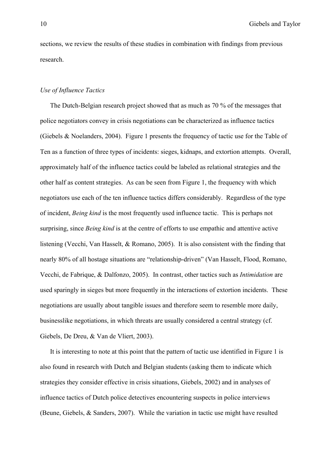sections, we review the results of these studies in combination with findings from previous research.

## *Use of Influence Tactics*

The Dutch-Belgian research project showed that as much as 70 % of the messages that police negotiators convey in crisis negotiations can be characterized as influence tactics (Giebels & Noelanders, 2004). Figure 1 presents the frequency of tactic use for the Table of Ten as a function of three types of incidents: sieges, kidnaps, and extortion attempts. Overall, approximately half of the influence tactics could be labeled as relational strategies and the other half as content strategies. As can be seen from Figure 1, the frequency with which negotiators use each of the ten influence tactics differs considerably. Regardless of the type of incident, *Being kind* is the most frequently used influence tactic. This is perhaps not surprising, since *Being kind* is at the centre of efforts to use empathic and attentive active listening (Vecchi, Van Hasselt, & Romano, 2005). It is also consistent with the finding that nearly 80% of all hostage situations are "relationship-driven" (Van Hasselt, Flood, Romano, Vecchi, de Fabrique, & Dalfonzo, 2005). In contrast, other tactics such as *Intimidation* are used sparingly in sieges but more frequently in the interactions of extortion incidents. These negotiations are usually about tangible issues and therefore seem to resemble more daily, businesslike negotiations, in which threats are usually considered a central strategy (cf. Giebels, De Dreu, & Van de Vliert, 2003).

It is interesting to note at this point that the pattern of tactic use identified in Figure 1 is also found in research with Dutch and Belgian students (asking them to indicate which strategies they consider effective in crisis situations, Giebels, 2002) and in analyses of influence tactics of Dutch police detectives encountering suspects in police interviews (Beune, Giebels, & Sanders, 2007). While the variation in tactic use might have resulted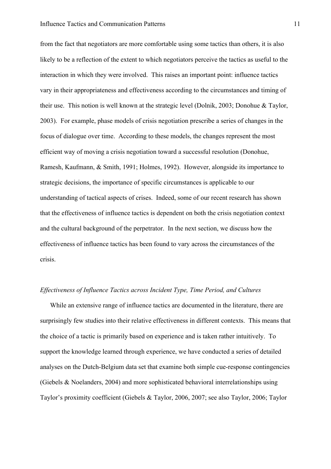from the fact that negotiators are more comfortable using some tactics than others, it is also likely to be a reflection of the extent to which negotiators perceive the tactics as useful to the interaction in which they were involved. This raises an important point: influence tactics vary in their appropriateness and effectiveness according to the circumstances and timing of their use. This notion is well known at the strategic level (Dolnik, 2003; Donohue & Taylor, 2003). For example, phase models of crisis negotiation prescribe a series of changes in the focus of dialogue over time. According to these models, the changes represent the most efficient way of moving a crisis negotiation toward a successful resolution (Donohue, Ramesh, Kaufmann, & Smith, 1991; Holmes, 1992). However, alongside its importance to strategic decisions, the importance of specific circumstances is applicable to our understanding of tactical aspects of crises. Indeed, some of our recent research has shown that the effectiveness of influence tactics is dependent on both the crisis negotiation context and the cultural background of the perpetrator. In the next section, we discuss how the effectiveness of influence tactics has been found to vary across the circumstances of the crisis.

# *Effectiveness of Influence Tactics across Incident Type, Time Period, and Cultures*

While an extensive range of influence tactics are documented in the literature, there are surprisingly few studies into their relative effectiveness in different contexts. This means that the choice of a tactic is primarily based on experience and is taken rather intuitively. To support the knowledge learned through experience, we have conducted a series of detailed analyses on the Dutch-Belgium data set that examine both simple cue-response contingencies (Giebels & Noelanders, 2004) and more sophisticated behavioral interrelationships using Taylor's proximity coefficient (Giebels & Taylor, 2006, 2007; see also Taylor, 2006; Taylor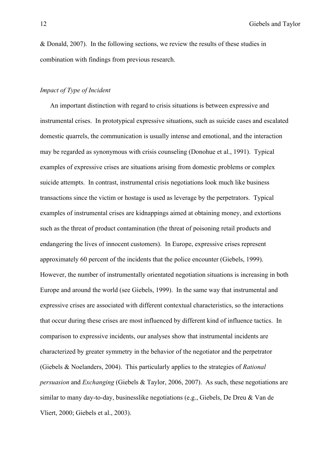& Donald, 2007). In the following sections, we review the results of these studies in combination with findings from previous research.

## *Impact of Type of Incident*

An important distinction with regard to crisis situations is between expressive and instrumental crises. In prototypical expressive situations, such as suicide cases and escalated domestic quarrels, the communication is usually intense and emotional, and the interaction may be regarded as synonymous with crisis counseling (Donohue et al., 1991). Typical examples of expressive crises are situations arising from domestic problems or complex suicide attempts. In contrast, instrumental crisis negotiations look much like business transactions since the victim or hostage is used as leverage by the perpetrators. Typical examples of instrumental crises are kidnappings aimed at obtaining money, and extortions such as the threat of product contamination (the threat of poisoning retail products and endangering the lives of innocent customers). In Europe, expressive crises represent approximately 60 percent of the incidents that the police encounter (Giebels, 1999). However, the number of instrumentally orientated negotiation situations is increasing in both Europe and around the world (see Giebels, 1999). In the same way that instrumental and expressive crises are associated with different contextual characteristics, so the interactions that occur during these crises are most influenced by different kind of influence tactics. In comparison to expressive incidents, our analyses show that instrumental incidents are characterized by greater symmetry in the behavior of the negotiator and the perpetrator (Giebels & Noelanders, 2004). This particularly applies to the strategies of *Rational persuasion* and *Exchanging* (Giebels & Taylor, 2006, 2007). As such, these negotiations are similar to many day-to-day, businesslike negotiations (e.g., Giebels, De Dreu & Van de Vliert, 2000; Giebels et al., 2003).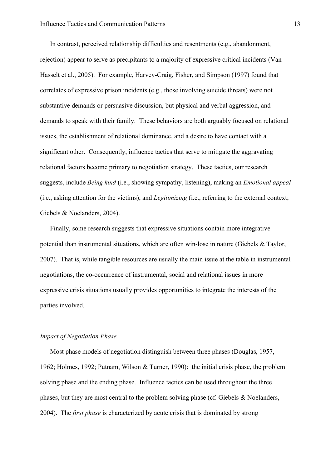In contrast, perceived relationship difficulties and resentments (e.g., abandonment, rejection) appear to serve as precipitants to a majority of expressive critical incidents (Van Hasselt et al., 2005). For example, Harvey-Craig, Fisher, and Simpson (1997) found that correlates of expressive prison incidents (e.g., those involving suicide threats) were not substantive demands or persuasive discussion, but physical and verbal aggression, and demands to speak with their family. These behaviors are both arguably focused on relational issues, the establishment of relational dominance, and a desire to have contact with a significant other. Consequently, influence tactics that serve to mitigate the aggravating relational factors become primary to negotiation strategy. These tactics, our research suggests, include *Being kind* (i.e., showing sympathy, listening), making an *Emotional appeal*  (i.e., asking attention for the victims), and *Legitimizing* (i.e., referring to the external context; Giebels & Noelanders, 2004).

Finally, some research suggests that expressive situations contain more integrative potential than instrumental situations, which are often win-lose in nature (Giebels & Taylor, 2007). That is, while tangible resources are usually the main issue at the table in instrumental negotiations, the co-occurrence of instrumental, social and relational issues in more expressive crisis situations usually provides opportunities to integrate the interests of the parties involved.

#### *Impact of Negotiation Phase*

Most phase models of negotiation distinguish between three phases (Douglas, 1957, 1962; Holmes, 1992; Putnam, Wilson & Turner, 1990): the initial crisis phase, the problem solving phase and the ending phase. Influence tactics can be used throughout the three phases, but they are most central to the problem solving phase (cf. Giebels & Noelanders, 2004). The *first phase* is characterized by acute crisis that is dominated by strong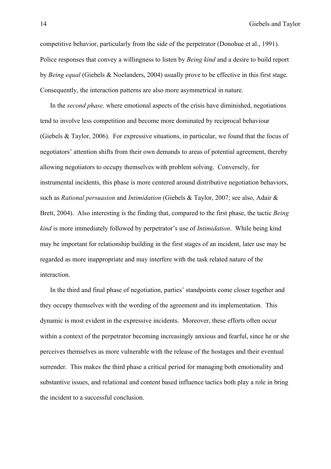competitive behavior, particularly from the side of the perpetrator (Donohue et al., 1991). Police responses that convey a willingness to listen by *Being kind* and a desire to build report by *Being equal* (Giebels & Noelanders, 2004) usually prove to be effective in this first stage. Consequently, the interaction patterns are also more asymmetrical in nature.

In the *second phase,* where emotional aspects of the crisis have diminished, negotiations tend to involve less competition and become more dominated by reciprocal behaviour (Giebels & Taylor, 2006). For expressive situations, in particular, we found that the focus of negotiators' attention shifts from their own demands to areas of potential agreement, thereby allowing negotiators to occupy themselves with problem solving. Conversely, for instrumental incidents, this phase is more centered around distributive negotiation behaviors, such as *Rational persuasion* and *Intimidation* (Giebels & Taylor, 2007; see also, Adair & Brett, 2004). Also interesting is the finding that, compared to the first phase, the tactic *Being kind* is more immediately followed by perpetrator's use of *Intimidation*. While being kind may be important for relationship building in the first stages of an incident, later use may be regarded as more inappropriate and may interfere with the task related nature of the interaction.

In the third and final phase of negotiation, parties' standpoints come closer together and they occupy themselves with the wording of the agreement and its implementation. This dynamic is most evident in the expressive incidents. Moreover, these efforts often occur within a context of the perpetrator becoming increasingly anxious and fearful, since he or she perceives themselves as more vulnerable with the release of the hostages and their eventual surrender. This makes the third phase a critical period for managing both emotionality and substantive issues, and relational and content based influence tactics both play a role in bring the incident to a successful conclusion.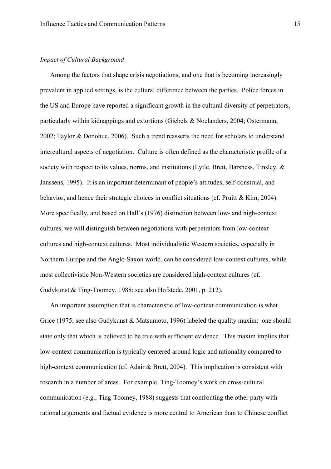# *Impact of Cultural Background*

Among the factors that shape crisis negotiations, and one that is becoming increasingly prevalent in applied settings, is the cultural difference between the parties. Police forces in the US and Europe have reported a significant growth in the cultural diversity of perpetrators, particularly within kidnappings and extortions (Giebels & Noelanders, 2004; Ostermann, 2002; Taylor & Donohue, 2006). Such a trend reasserts the need for scholars to understand intercultural aspects of negotiation. Culture is often defined as the characteristic profile of a society with respect to its values, norms, and institutions (Lytle, Brett, Barsness, Tinsley, & Janssens, 1995). It is an important determinant of people's attitudes, self-construal, and behavior, and hence their strategic choices in conflict situations (cf. Pruitt & Kim, 2004). More specifically, and based on Hall's (1976) distinction between low- and high-context cultures, we will distinguish between negotiations with perpetrators from low-context cultures and high-context cultures. Most individualistic Western societies, especially in Northern Europe and the Anglo-Saxon world, can be considered low-context cultures, while most collectivistic Non-Western societies are considered high-context cultures (cf. Gudykunst & Ting-Toomey, 1988; see also Hofstede, 2001, p. 212).

An important assumption that is characteristic of low-context communication is what Grice (1975; see also Gudykunst & Matsumoto, 1996) labeled the quality maxim: one should state only that which is believed to be true with sufficient evidence. This maxim implies that low-context communication is typically centered around logic and rationality compared to high-context communication (cf. Adair & Brett, 2004). This implication is consistent with research in a number of areas. For example, Ting-Toomey's work on cross-cultural communication (e.g., Ting-Toomey, 1988) suggests that confronting the other party with rational arguments and factual evidence is more central to American than to Chinese conflict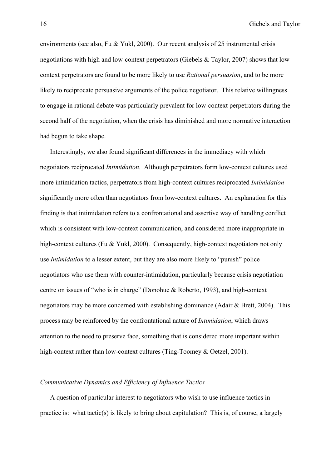environments (see also, Fu & Yukl, 2000). Our recent analysis of 25 instrumental crisis negotiations with high and low-context perpetrators (Giebels & Taylor, 2007) shows that low context perpetrators are found to be more likely to use *Rational persuasion*, and to be more likely to reciprocate persuasive arguments of the police negotiator. This relative willingness to engage in rational debate was particularly prevalent for low-context perpetrators during the second half of the negotiation, when the crisis has diminished and more normative interaction had begun to take shape.

Interestingly, we also found significant differences in the immediacy with which negotiators reciprocated *Intimidation*. Although perpetrators form low-context cultures used more intimidation tactics, perpetrators from high-context cultures reciprocated *Intimidation* significantly more often than negotiators from low-context cultures. An explanation for this finding is that intimidation refers to a confrontational and assertive way of handling conflict which is consistent with low-context communication, and considered more inappropriate in high-context cultures (Fu & Yukl, 2000). Consequently, high-context negotiators not only use *Intimidation* to a lesser extent, but they are also more likely to "punish" police negotiators who use them with counter-intimidation, particularly because crisis negotiation centre on issues of "who is in charge" (Donohue & Roberto, 1993), and high-context negotiators may be more concerned with establishing dominance (Adair & Brett, 2004). This process may be reinforced by the confrontational nature of *Intimidation*, which draws attention to the need to preserve face, something that is considered more important within high-context rather than low-context cultures (Ting-Toomey & Oetzel, 2001).

# *Communicative Dynamics and Efficiency of Influence Tactics*

A question of particular interest to negotiators who wish to use influence tactics in practice is: what tactic(s) is likely to bring about capitulation? This is, of course, a largely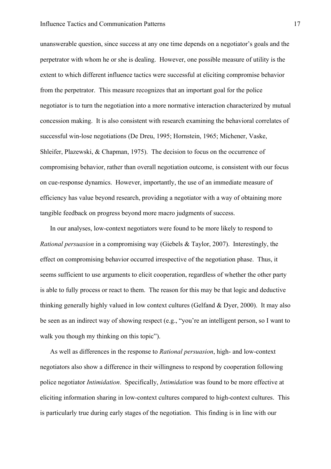unanswerable question, since success at any one time depends on a negotiator's goals and the perpetrator with whom he or she is dealing. However, one possible measure of utility is the extent to which different influence tactics were successful at eliciting compromise behavior from the perpetrator. This measure recognizes that an important goal for the police negotiator is to turn the negotiation into a more normative interaction characterized by mutual concession making. It is also consistent with research examining the behavioral correlates of successful win-lose negotiations (De Dreu, 1995; Hornstein, 1965; Michener, Vaske, Shleifer, Plazewski, & Chapman, 1975). The decision to focus on the occurrence of compromising behavior, rather than overall negotiation outcome, is consistent with our focus on cue-response dynamics. However, importantly, the use of an immediate measure of efficiency has value beyond research, providing a negotiator with a way of obtaining more tangible feedback on progress beyond more macro judgments of success.

In our analyses, low-context negotiators were found to be more likely to respond to *Rational persuasion* in a compromising way (Giebels & Taylor, 2007). Interestingly, the effect on compromising behavior occurred irrespective of the negotiation phase. Thus, it seems sufficient to use arguments to elicit cooperation, regardless of whether the other party is able to fully process or react to them. The reason for this may be that logic and deductive thinking generally highly valued in low context cultures (Gelfand & Dyer, 2000). It may also be seen as an indirect way of showing respect (e.g., "you're an intelligent person, so I want to walk you though my thinking on this topic").

As well as differences in the response to *Rational persuasion*, high- and low-context negotiators also show a difference in their willingness to respond by cooperation following police negotiator *Intimidation*. Specifically, *Intimidation* was found to be more effective at eliciting information sharing in low-context cultures compared to high-context cultures. This is particularly true during early stages of the negotiation. This finding is in line with our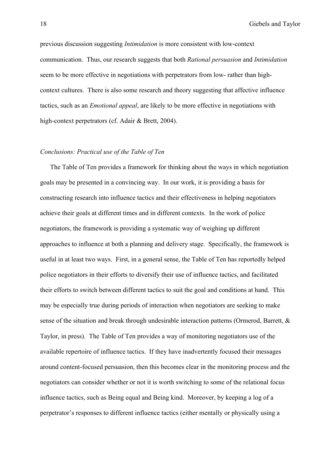previous discussion suggesting *Intimidation* is more consistent with low-context communication. Thus, our research suggests that both *Rational persuasion* and *Intimidation*  seem to be more effective in negotiations with perpetrators from low- rather than highcontext cultures. There is also some research and theory suggesting that affective influence tactics, such as an *Emotional appeal*, are likely to be more effective in negotiations with high-context perpetrators (cf. Adair & Brett, 2004).

#### *Conclusions: Practical use of the Table of Ten*

The Table of Ten provides a framework for thinking about the ways in which negotiation goals may be presented in a convincing way. In our work, it is providing a basis for constructing research into influence tactics and their effectiveness in helping negotiators achieve their goals at different times and in different contexts. In the work of police negotiators, the framework is providing a systematic way of weighing up different approaches to influence at both a planning and delivery stage. Specifically, the framework is useful in at least two ways. First, in a general sense, the Table of Ten has reportedly helped police negotiators in their efforts to diversify their use of influence tactics, and facilitated their efforts to switch between different tactics to suit the goal and conditions at hand. This may be especially true during periods of interaction when negotiators are seeking to make sense of the situation and break through undesirable interaction patterns (Ormerod, Barrett, & Taylor, in press). The Table of Ten provides a way of monitoring negotiators use of the available repertoire of influence tactics. If they have inadvertently focused their messages around content-focused persuasion, then this becomes clear in the monitoring process and the negotiators can consider whether or not it is worth switching to some of the relational focus influence tactics, such as Being equal and Being kind. Moreover, by keeping a log of a perpetrator's responses to different influence tactics (either mentally or physically using a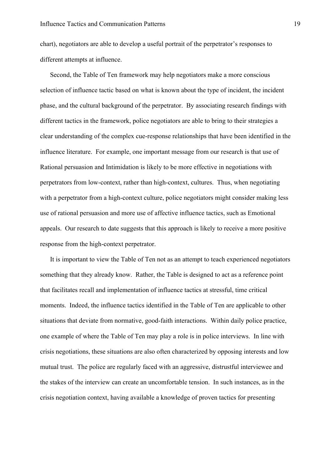chart), negotiators are able to develop a useful portrait of the perpetrator's responses to different attempts at influence.

Second, the Table of Ten framework may help negotiators make a more conscious selection of influence tactic based on what is known about the type of incident, the incident phase, and the cultural background of the perpetrator. By associating research findings with different tactics in the framework, police negotiators are able to bring to their strategies a clear understanding of the complex cue-response relationships that have been identified in the influence literature. For example, one important message from our research is that use of Rational persuasion and Intimidation is likely to be more effective in negotiations with perpetrators from low-context, rather than high-context, cultures. Thus, when negotiating with a perpetrator from a high-context culture, police negotiators might consider making less use of rational persuasion and more use of affective influence tactics, such as Emotional appeals. Our research to date suggests that this approach is likely to receive a more positive response from the high-context perpetrator.

It is important to view the Table of Ten not as an attempt to teach experienced negotiators something that they already know. Rather, the Table is designed to act as a reference point that facilitates recall and implementation of influence tactics at stressful, time critical moments. Indeed, the influence tactics identified in the Table of Ten are applicable to other situations that deviate from normative, good-faith interactions. Within daily police practice, one example of where the Table of Ten may play a role is in police interviews. In line with crisis negotiations, these situations are also often characterized by opposing interests and low mutual trust. The police are regularly faced with an aggressive, distrustful interviewee and the stakes of the interview can create an uncomfortable tension. In such instances, as in the crisis negotiation context, having available a knowledge of proven tactics for presenting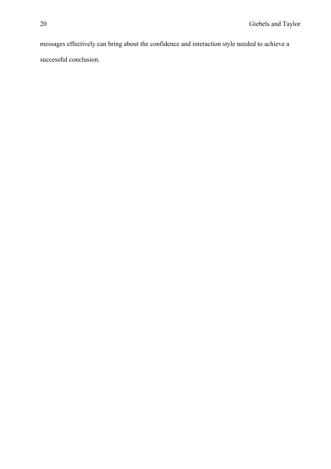messages effectively can bring about the confidence and interaction style needed to achieve a successful conclusion.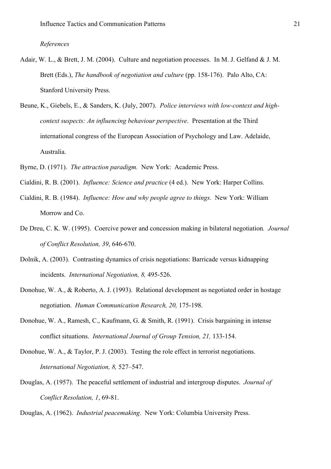*References*

- Adair, W. L., & Brett, J. M. (2004). Culture and negotiation processes. In M. J. Gelfand & J. M. Brett (Eds.), *The handbook of negotiation and culture* (pp. 158-176). Palo Alto, CA: Stanford University Press.
- Beune, K., Giebels, E., & Sanders, K. (July, 2007). *Police interviews with low-context and highcontext suspects: An influencing behaviour perspective*. Presentation at the Third international congress of the European Association of Psychology and Law. Adelaide, Australia.
- Byrne, D. (1971). *The attraction paradigm.* New York: Academic Press.
- Cialdini, R. B. (2001). *Influence: Science and practice* (4 ed.). New York: Harper Collins.
- Cialdini, R. B. (1984). *Influence: How and why people agree to things.* New York: William Morrow and Co.
- De Dreu, C. K. W. (1995). Coercive power and concession making in bilateral negotiation*. Journal of Conflict Resolution, 39*, 646-670.
- Dolnik, A. (2003). Contrasting dynamics of crisis negotiations: Barricade versus kidnapping incidents. *International Negotiation, 8,* 495-526.
- Donohue, W. A., & Roberto, A. J. (1993). Relational development as negotiated order in hostage negotiation. *Human Communication Research, 20,* 175-198.
- Donohue, W. A., Ramesh, C., Kaufmann, G. & Smith, R. (1991). Crisis bargaining in intense conflict situations. *International Journal of Group Tension, 21,* 133-154.
- Donohue, W. A., & Taylor, P. J. (2003). Testing the role effect in terrorist negotiations. *International Negotiation, 8,* 527–547.
- Douglas, A. (1957). The peaceful settlement of industrial and intergroup disputes. *Journal of Conflict Resolution, 1*, 69-81.

Douglas, A. (1962). *Industrial peacemaking*. New York: Columbia University Press.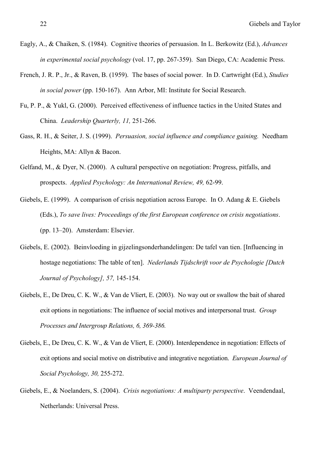- Eagly, A., & Chaiken, S. (1984). Cognitive theories of persuasion. In L. Berkowitz (Ed.), *Advances in experimental social psychology* (vol. 17, pp. 267-359). San Diego, CA: Academic Press.
- French, J. R. P., Jr., & Raven, B. (1959). The bases of social power. In D. Cartwright (Ed.), *Studies in social power* (pp. 150-167). Ann Arbor, MI: Institute for Social Research.
- Fu, P. P., & Yukl, G. (2000). Perceived effectiveness of influence tactics in the United States and China. *Leadership Quarterly, 11,* 251-266.
- Gass, R. H., & Seiter, J. S. (1999). *Persuasion, social influence and compliance gaining.* Needham Heights, MA: Allyn & Bacon.
- Gelfand, M., & Dyer, N. (2000). A cultural perspective on negotiation: Progress, pitfalls, and prospects. *Applied Psychology: An International Review, 49,* 62-99.
- Giebels, E. (1999). A comparison of crisis negotiation across Europe. In O. Adang & E. Giebels (Eds.), *To save lives: Proceedings of the first European conference on crisis negotiations*. (pp. 13–20). Amsterdam: Elsevier.
- Giebels, E. (2002). Beinvloeding in gijzelingsonderhandelingen: De tafel van tien. [Influencing in hostage negotiations: The table of ten]. *Nederlands Tijdschrift voor de Psychologie [Dutch Journal of Psychology], 57,* 145-154.
- Giebels, E., De Dreu, C. K. W., & Van de Vliert, E. (2003). No way out or swallow the bait of shared exit options in negotiations: The influence of social motives and interpersonal trust. *Group Processes and Intergroup Relations, 6, 369-386.*
- Giebels, E., De Dreu, C. K. W., & Van de Vliert, E. (2000). Interdependence in negotiation: Effects of exit options and social motive on distributive and integrative negotiation. *European Journal of Social Psychology, 30,* 255-272.
- Giebels, E., & Noelanders, S. (2004). *Crisis negotiations: A multiparty perspective*. Veendendaal, Netherlands: Universal Press.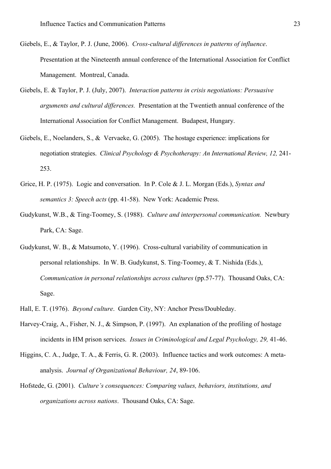- Giebels, E., & Taylor, P. J. (June, 2006). *Cross-cultural differences in patterns of influence*. Presentation at the Nineteenth annual conference of the International Association for Conflict Management. Montreal, Canada.
- Giebels, E. & Taylor, P. J. (July, 2007). *Interaction patterns in crisis negotiations: Persuasive arguments and cultural differences.* Presentation at the Twentieth annual conference of the International Association for Conflict Management. Budapest, Hungary.
- Giebels, E., Noelanders, S., & Vervaeke, G. (2005). The hostage experience: implications for negotiation strategies. *Clinical Psychology & Psychotherapy: An International Review, 12, 241-*253.
- Grice, H. P. (1975). Logic and conversation. In P. Cole & J. L. Morgan (Eds.), *Syntax and semantics 3: Speech acts* (pp. 41-58). New York: Academic Press.
- Gudykunst, W.B., & Ting-Toomey, S. (1988). *Culture and interpersonal communication.* Newbury Park, CA: Sage.
- Gudykunst, W. B., & Matsumoto, Y. (1996). Cross-cultural variability of communication in personal relationships. In W. B. Gudykunst, S. Ting-Toomey, & T. Nishida (Eds.), *Communication in personal relationships across cultures* (pp.57-77). Thousand Oaks, CA: Sage.
- Hall, E. T. (1976). *Beyond culture*. Garden City, NY: Anchor Press/Doubleday.
- Harvey-Craig, A., Fisher, N. J., & Simpson, P. (1997). An explanation of the profiling of hostage incidents in HM prison services. *Issues in Criminological and Legal Psychology, 29,* 41-46.
- Higgins, C. A., Judge, T. A., & Ferris, G. R. (2003). Influence tactics and work outcomes: A metaanalysis. *Journal of Organizational Behaviour, 24*, 89-106.
- Hofstede, G. (2001). *Culture's consequences: Comparing values, behaviors, institutions, and organizations across nations*. Thousand Oaks, CA: Sage.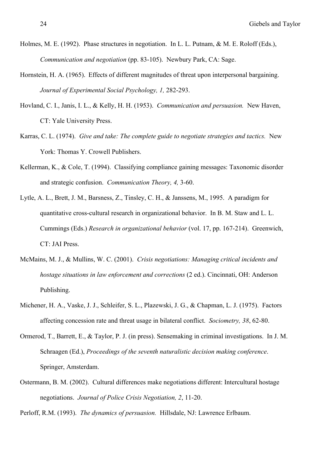- Holmes, M. E. (1992). Phase structures in negotiation. In L. L. Putnam, & M. E. Roloff (Eds.), *Communication and negotiation* (pp. 83-105). Newbury Park, CA: Sage.
- Hornstein, H. A. (1965). Effects of different magnitudes of threat upon interpersonal bargaining. *Journal of Experimental Social Psychology, 1,* 282-293.
- Hovland, C. I., Janis, I. L., & Kelly, H. H. (1953). *Communication and persuasion.* New Haven, CT: Yale University Press.
- Karras, C. L. (1974). *Give and take: The complete guide to negotiate strategies and tactics.* New York: Thomas Y. Crowell Publishers.
- Kellerman, K., & Cole, T. (1994). Classifying compliance gaining messages: Taxonomic disorder and strategic confusion. *Communication Theory, 4,* 3-60.
- Lytle, A. L., Brett, J. M., Barsness, Z., Tinsley, C. H., & Janssens, M., 1995. A paradigm for quantitative cross-cultural research in organizational behavior. In B. M. Staw and L. L. Cummings (Eds.) *Research in organizational behavior* (vol. 17, pp. 167-214). Greenwich, CT: JAI Press.
- McMains, M. J., & Mullins, W. C. (2001). *Crisis negotiations: Managing critical incidents and hostage situations in law enforcement and corrections* (2 ed.). Cincinnati, OH: Anderson Publishing.
- Michener, H. A., Vaske, J. J., Schleifer, S. L., Plazewski, J. G., & Chapman, L. J. (1975). Factors affecting concession rate and threat usage in bilateral conflict. *Sociometry, 38*, 62-80.
- Ormerod, T., Barrett, E., & Taylor, P. J. (in press). Sensemaking in criminal investigations. In J. M. Schraagen (Ed.), *Proceedings of the seventh naturalistic decision making conference*. Springer, Amsterdam.
- Ostermann, B. M. (2002). Cultural differences make negotiations different: Intercultural hostage negotiations. *Journal of Police Crisis Negotiation, 2*, 11-20.

Perloff, R.M. (1993). *The dynamics of persuasion.* Hillsdale, NJ: Lawrence Erlbaum.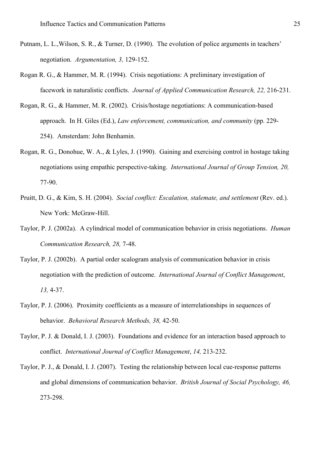- Putnam, L. L.,Wilson, S. R., & Turner, D. (1990). The evolution of police arguments in teachers' negotiation. *Argumentation, 3,* 129-152.
- Rogan R. G., & Hammer, M. R. (1994). Crisis negotiations: A preliminary investigation of facework in naturalistic conflicts. *Journal of Applied Communication Research, 22,* 216-231.
- Rogan, R. G., & Hammer, M. R. (2002). Crisis/hostage negotiations: A communication-based approach. In H. Giles (Ed.), *Law enforcement, communication, and community* (pp. 229- 254). Amsterdam: John Benhamin.
- Rogan, R. G., Donohue, W. A., & Lyles, J. (1990). Gaining and exercising control in hostage taking negotiations using empathic perspective-taking. *International Journal of Group Tension, 20,* 77-90.
- Pruitt, D. G., & Kim, S. H. (2004). *Social conflict: Escalation, stalemate, and settlement* (Rev. ed.). New York: McGraw-Hill.
- Taylor, P. J. (2002a). A cylindrical model of communication behavior in crisis negotiations. *Human Communication Research, 28,* 7-48.
- Taylor, P. J. (2002b). A partial order scalogram analysis of communication behavior in crisis negotiation with the prediction of outcome. *International Journal of Conflict Management*, *13,* 4-37.
- Taylor, P. J. (2006). Proximity coefficients as a measure of interrelationships in sequences of behavior. *Behavioral Research Methods, 38,* 42-50.
- Taylor, P. J. & Donald, I. J. (2003). Foundations and evidence for an interaction based approach to conflict. *International Journal of Conflict Management*, *14,* 213-232.
- Taylor, P. J., & Donald, I. J. (2007). Testing the relationship between local cue-response patterns and global dimensions of communication behavior. *British Journal of Social Psychology, 46,*  273-298.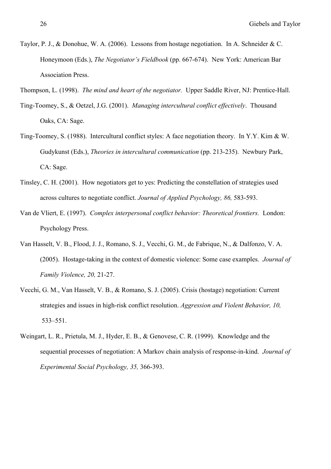Taylor, P. J., & Donohue, W. A. (2006). Lessons from hostage negotiation. In A. Schneider & C. Honeymoon (Eds.), *The Negotiator's Fieldbook* (pp. 667-674). New York: American Bar Association Press.

Thompson, L. (1998). *The mind and heart of the negotiator.* Upper Saddle River, NJ: Prentice-Hall.

- Ting-Toomey, S., & Oetzel, J.G. (2001). *Managing intercultural conflict effectively*. Thousand Oaks, CA: Sage.
- Ting-Toomey, S. (1988). Intercultural conflict styles: A face negotiation theory. In Y.Y. Kim & W. Gudykunst (Eds.), *Theories in intercultural communication* (pp. 213-235). Newbury Park, CA: Sage.
- Tinsley, C. H. (2001). How negotiators get to yes: Predicting the constellation of strategies used across cultures to negotiate conflict. *Journal of Applied Psychology, 86,* 583-593.
- Van de Vliert, E. (1997). *Complex interpersonal conflict behavior: Theoretical frontiers.* London: Psychology Press.
- Van Hasselt, V. B., Flood, J. J., Romano, S. J., Vecchi, G. M., de Fabrique, N., & Dalfonzo, V. A. (2005). Hostage-taking in the context of domestic violence: Some case examples. *Journal of Family Violence, 20,* 21-27.
- Vecchi, G. M., Van Hasselt, V. B., & Romano, S. J. (2005). Crisis (hostage) negotiation: Current strategies and issues in high-risk conflict resolution. *Aggression and Violent Behavior, 10,* 533–551.
- Weingart, L. R., Prietula, M. J., Hyder, E. B., & Genovese, C. R. (1999). Knowledge and the sequential processes of negotiation: A Markov chain analysis of response-in-kind. *Journal of Experimental Social Psychology, 35,* 366-393.